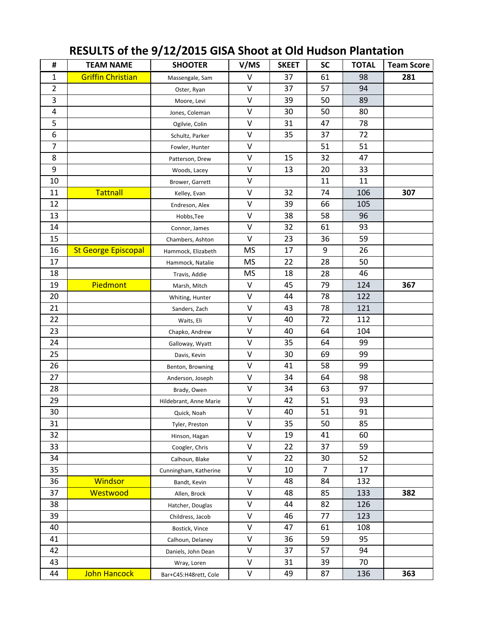| #              | <b>TEAM NAME</b>           | <b>SHOOTER</b>         | V/MS        | <b>SKEET</b> | <b>SC</b> | <b>TOTAL</b> | <b>Team Score</b> |
|----------------|----------------------------|------------------------|-------------|--------------|-----------|--------------|-------------------|
| $\mathbf{1}$   | <b>Griffin Christian</b>   | Massengale, Sam        | $\vee$      | 37           | 61        | 98           | 281               |
| $\overline{2}$ |                            | Oster, Ryan            | $\vee$      | 37           | 57        | 94           |                   |
| 3              |                            | Moore, Levi            | $\vee$      | 39           | 50        | 89           |                   |
| 4              |                            | Jones, Coleman         | $\vee$      | 30           | 50        | 80           |                   |
| 5              |                            | Ogilvie, Colin         | $\vee$      | 31           | 47        | 78           |                   |
| 6              |                            | Schultz, Parker        | $\vee$      | 35           | 37        | 72           |                   |
| $\overline{7}$ |                            | Fowler, Hunter         | $\mathsf V$ |              | 51        | 51           |                   |
| 8              |                            | Patterson, Drew        | $\vee$      | 15           | 32        | 47           |                   |
| 9              |                            | Woods, Lacey           | $\vee$      | 13           | 20        | 33           |                   |
| 10             |                            | Brower, Garrett        | $\vee$      |              | 11        | 11           |                   |
| 11             | <b>Tattnall</b>            | Kelley, Evan           | $\vee$      | 32           | 74        | 106          | 307               |
| 12             |                            | Endreson, Alex         | $\vee$      | 39           | 66        | 105          |                   |
| 13             |                            | Hobbs, Tee             | $\mathsf V$ | 38           | 58        | 96           |                   |
| 14             |                            | Connor, James          | $\vee$      | 32           | 61        | 93           |                   |
| 15             |                            | Chambers, Ashton       | $\vee$      | 23           | 36        | 59           |                   |
| 16             | <b>St George Episcopal</b> | Hammock, Elizabeth     | <b>MS</b>   | 17           | 9         | 26           |                   |
| 17             |                            | Hammock, Natalie       | <b>MS</b>   | 22           | 28        | 50           |                   |
| 18             |                            | Travis, Addie          | <b>MS</b>   | 18           | 28        | 46           |                   |
| 19             | Piedmont                   | Marsh, Mitch           | $\mathsf V$ | 45           | 79        | 124          | 367               |
| 20             |                            | Whiting, Hunter        | $\sf V$     | 44           | 78        | 122          |                   |
| 21             |                            | Sanders, Zach          | $\sf V$     | 43           | 78        | 121          |                   |
| 22             |                            | Waits, Eli             | $\vee$      | 40           | 72        | 112          |                   |
| 23             |                            | Chapko, Andrew         | $\vee$      | 40           | 64        | 104          |                   |
| 24             |                            | Galloway, Wyatt        | $\vee$      | 35           | 64        | 99           |                   |
| 25             |                            | Davis, Kevin           | $\vee$      | 30           | 69        | 99           |                   |
| 26             |                            | Benton, Browning       | $\vee$      | 41           | 58        | 99           |                   |
| 27             |                            | Anderson, Joseph       | $\vee$      | 34           | 64        | 98           |                   |
| 28             |                            | Brady, Owen            | $\vee$      | 34           | 63        | 97           |                   |
| 29             |                            | Hildebrant, Anne Marie | $\sf V$     | 42           | 51        | 93           |                   |
| 30             |                            | Quick, Noah            | $\sf V$     | 40           | 51        | 91           |                   |
| 31             |                            | Tyler, Preston         | $\vee$      | 35           | 50        | 85           |                   |
| 32             |                            | Hinson, Hagan          | $\mathsf V$ | 19           | 41        | 60           |                   |
| 33             |                            | Coogler, Chris         | $\vee$      | 22           | 37        | 59           |                   |
| 34             |                            | Calhoun, Blake         | $\sf V$     | 22           | 30        | 52           |                   |
| 35             |                            | Cunningham, Katherine  | $\sf V$     | 10           | 7         | 17           |                   |
| 36             | Windsor                    | Bandt, Kevin           | $\mathsf V$ | 48           | 84        | 132          |                   |
| 37             | Westwood                   | Allen, Brock           | $\sf V$     | 48           | 85        | 133          | 382               |
| 38             |                            | Hatcher, Douglas       | $\vee$      | 44           | 82        | 126          |                   |
| 39             |                            | Childress, Jacob       | $\sf V$     | 46           | 77        | 123          |                   |
| 40             |                            | Bostick, Vince         | $\sf V$     | 47           | 61        | 108          |                   |
| 41             |                            | Calhoun, Delaney       | $\sf V$     | 36           | 59        | 95           |                   |
| 42             |                            | Daniels, John Dean     | $\sf V$     | 37           | 57        | 94           |                   |
| 43             |                            | Wray, Loren            | $\mathsf V$ | 31           | 39        | 70           |                   |
| 44             | John Hancock               | Bar+C45:H48rett, Cole  | $\sf V$     | 49           | 87        | 136          | 363               |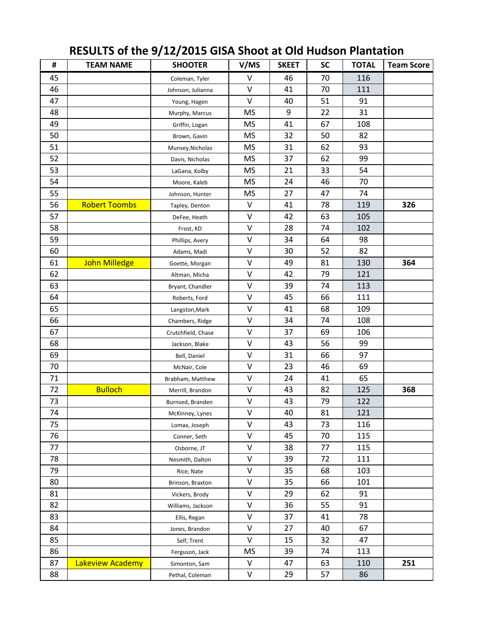| #  | <b>TEAM NAME</b>     | <b>SHOOTER</b>     | V/MS        | <b>SKEET</b> | <b>SC</b> | <b>TOTAL</b> | <b>Team Score</b> |
|----|----------------------|--------------------|-------------|--------------|-----------|--------------|-------------------|
| 45 |                      | Coleman, Tyler     | $\vee$      | 46           | 70        | 116          |                   |
| 46 |                      | Johnson, Julianna  | $\vee$      | 41           | 70        | 111          |                   |
| 47 |                      | Young, Hagen       | $\vee$      | 40           | 51        | 91           |                   |
| 48 |                      | Murphy, Marcus     | <b>MS</b>   | 9            | 22        | 31           |                   |
| 49 |                      | Griffin, Logan     | <b>MS</b>   | 41           | 67        | 108          |                   |
| 50 |                      | Brown, Gavin       | <b>MS</b>   | 32           | 50        | 82           |                   |
| 51 |                      | Munsey, Nicholas   | MS          | 31           | 62        | 93           |                   |
| 52 |                      | Davis, Nicholas    | <b>MS</b>   | 37           | 62        | 99           |                   |
| 53 |                      | LaGana, Kolby      | <b>MS</b>   | 21           | 33        | 54           |                   |
| 54 |                      | Moore, Kaleb       | <b>MS</b>   | 24           | 46        | 70           |                   |
| 55 |                      | Johnson, Hunter    | <b>MS</b>   | 27           | 47        | 74           |                   |
| 56 | <b>Robert Toombs</b> | Tapley, Denton     | $\sf V$     | 41           | 78        | 119          | 326               |
| 57 |                      | DeFee, Heath       | $\vee$      | 42           | 63        | 105          |                   |
| 58 |                      | Frost, KD          | $\vee$      | 28           | 74        | 102          |                   |
| 59 |                      | Phillips, Avery    | $\vee$      | 34           | 64        | 98           |                   |
| 60 |                      | Adams, Madi        | $\mathsf V$ | 30           | 52        | 82           |                   |
| 61 | <b>John Milledge</b> | Goette, Morgan     | $\mathsf V$ | 49           | 81        | 130          | 364               |
| 62 |                      | Altman, Micha      | $\vee$      | 42           | 79        | 121          |                   |
| 63 |                      | Bryant, Chandler   | $\vee$      | 39           | 74        | 113          |                   |
| 64 |                      | Roberts, Ford      | $\sf V$     | 45           | 66        | 111          |                   |
| 65 |                      | Langston, Mark     | $\mathsf V$ | 41           | 68        | 109          |                   |
| 66 |                      | Chambers, Ridge    | $\vee$      | 34           | 74        | 108          |                   |
| 67 |                      | Crutchfield, Chase | $\mathsf V$ | 37           | 69        | 106          |                   |
| 68 |                      | Jackson, Blake     | $\sf V$     | 43           | 56        | 99           |                   |
| 69 |                      | Bell, Daniel       | $\vee$      | 31           | 66        | 97           |                   |
| 70 |                      | McNair, Cole       | $\vee$      | 23           | 46        | 69           |                   |
| 71 |                      | Brabham, Matthew   | $\vee$      | 24           | 41        | 65           |                   |
| 72 | <b>Bulloch</b>       | Merrill, Brandon   | $\vee$      | 43           | 82        | 125          | 368               |
| 73 |                      | Burnsed, Branden   | $\sf V$     | 43           | 79        | 122          |                   |
| 74 |                      | McKinney, Lynes    | $\sf V$     | 40           | 81        | 121          |                   |
| 75 |                      | Lomax, Joseph      | $\vee$      | 43           | 73        | 116          |                   |
| 76 |                      | Conner, Seth       | $\sf V$     | 45           | 70        | 115          |                   |
| 77 |                      | Osborne, JT        | $\vee$      | 38           | 77        | 115          |                   |
| 78 |                      | Nesmith, Dalton    | $\vee$      | 39           | 72        | 111          |                   |
| 79 |                      | Rice, Nate         | $\vee$      | 35           | 68        | 103          |                   |
| 80 |                      | Brinson, Braxton   | $\mathsf V$ | 35           | 66        | 101          |                   |
| 81 |                      | Vickers, Brody     | $\vee$      | 29           | 62        | 91           |                   |
| 82 |                      | Williams, Jackson  | $\sf V$     | 36           | 55        | 91           |                   |
| 83 |                      | Ellis, Regan       | $\sf V$     | 37           | 41        | 78           |                   |
| 84 |                      | Jones, Brandon     | $\vee$      | 27           | 40        | 67           |                   |
| 85 |                      | Self, Trent        | $\vee$      | 15           | 32        | 47           |                   |
| 86 |                      | Ferguson, Jack     | <b>MS</b>   | 39           | 74        | 113          |                   |
| 87 | Lakeview Academy     | Simonton, Sam      | V           | 47           | 63        | 110          | 251               |
| 88 |                      | Pethal, Coleman    | $\sf V$     | 29           | 57        | 86           |                   |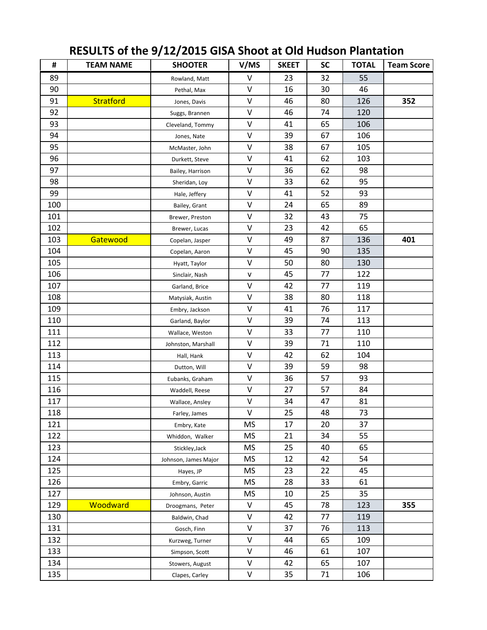| #   | <b>TEAM NAME</b> | <b>SHOOTER</b>       | V/MS         | <b>SKEET</b> | <b>SC</b> | <b>TOTAL</b> | <b>Team Score</b> |
|-----|------------------|----------------------|--------------|--------------|-----------|--------------|-------------------|
| 89  |                  | Rowland, Matt        | V            | 23           | 32        | 55           |                   |
| 90  |                  | Pethal, Max          | $\vee$       | 16           | 30        | 46           |                   |
| 91  | <b>Stratford</b> | Jones, Davis         | V            | 46           | 80        | 126          | 352               |
| 92  |                  | Suggs, Brannen       | $\mathsf V$  | 46           | 74        | 120          |                   |
| 93  |                  | Cleveland, Tommy     | V            | 41           | 65        | 106          |                   |
| 94  |                  | Jones, Nate          | $\vee$       | 39           | 67        | 106          |                   |
| 95  |                  | McMaster, John       | V            | 38           | 67        | 105          |                   |
| 96  |                  | Durkett, Steve       | V            | 41           | 62        | 103          |                   |
| 97  |                  | Bailey, Harrison     | $\vee$       | 36           | 62        | 98           |                   |
| 98  |                  | Sheridan, Loy        | $\vee$       | 33           | 62        | 95           |                   |
| 99  |                  | Hale, Jeffery        | V            | 41           | 52        | 93           |                   |
| 100 |                  | Bailey, Grant        | $\vee$       | 24           | 65        | 89           |                   |
| 101 |                  | Brewer, Preston      | $\vee$       | 32           | 43        | 75           |                   |
| 102 |                  | Brewer, Lucas        | V            | 23           | 42        | 65           |                   |
| 103 | Gatewood         | Copelan, Jasper      | V            | 49           | 87        | 136          | 401               |
| 104 |                  | Copelan, Aaron       | $\vee$       | 45           | 90        | 135          |                   |
| 105 |                  | Hyatt, Taylor        | V            | 50           | 80        | 130          |                   |
| 106 |                  | Sinclair, Nash       | $\mathsf{V}$ | 45           | 77        | 122          |                   |
| 107 |                  | Garland, Brice       | $\vee$       | 42           | 77        | 119          |                   |
| 108 |                  | Matysiak, Austin     | $\sf V$      | 38           | 80        | 118          |                   |
| 109 |                  | Embry, Jackson       | $\vee$       | 41           | 76        | 117          |                   |
| 110 |                  | Garland, Baylor      | V            | 39           | 74        | 113          |                   |
| 111 |                  | Wallace, Weston      | $\mathsf{V}$ | 33           | 77        | 110          |                   |
| 112 |                  | Johnston, Marshall   | $\sf V$      | 39           | 71        | 110          |                   |
| 113 |                  | Hall, Hank           | $\sf V$      | 42           | 62        | 104          |                   |
| 114 |                  | Dutton, Will         | V            | 39           | 59        | 98           |                   |
| 115 |                  | Eubanks, Graham      | V            | 36           | 57        | 93           |                   |
| 116 |                  | Waddell, Reese       | $\vee$       | 27           | 57        | 84           |                   |
| 117 |                  | Wallace, Ansley      | $\mathsf{V}$ | 34           | 47        | 81           |                   |
| 118 |                  | Farley, James        | $\sf V$      | 25           | 48        | 73           |                   |
| 121 |                  | Embry, Kate          | <b>MS</b>    | 17           | 20        | 37           |                   |
| 122 |                  | Whiddon, Walker      | MS           | 21           | 34        | 55           |                   |
| 123 |                  | Stickley, Jack       | <b>MS</b>    | 25           | 40        | 65           |                   |
| 124 |                  | Johnson, James Major | <b>MS</b>    | 12           | 42        | 54           |                   |
| 125 |                  | Hayes, JP            | <b>MS</b>    | 23           | 22        | 45           |                   |
| 126 |                  | Embry, Garric        | <b>MS</b>    | 28           | 33        | 61           |                   |
| 127 |                  | Johnson, Austin      | <b>MS</b>    | 10           | 25        | 35           |                   |
| 129 | Woodward         | Droogmans, Peter     | V            | 45           | 78        | 123          | 355               |
| 130 |                  | Baldwin, Chad        | V            | 42           | 77        | 119          |                   |
| 131 |                  | Gosch, Finn          | $\mathsf{V}$ | 37           | 76        | 113          |                   |
| 132 |                  | Kurzweg, Turner      | $\sf V$      | 44           | 65        | 109          |                   |
| 133 |                  | Simpson, Scott       | $\mathsf{V}$ | 46           | 61        | 107          |                   |
| 134 |                  | Stowers, August      | $\sf V$      | 42           | 65        | 107          |                   |
| 135 |                  | Clapes, Carley       | V            | 35           | 71        | 106          |                   |